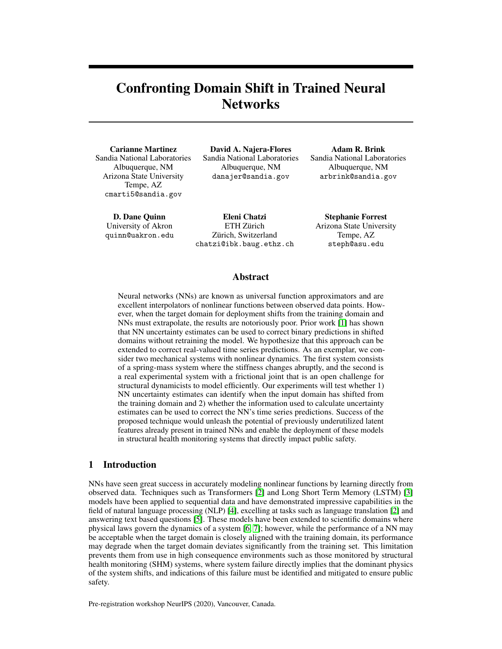# Confronting Domain Shift in Trained Neural **Networks**

Carianne Martinez Sandia National Laboratories Albuquerque, NM Arizona State University Tempe, AZ cmarti5@sandia.gov

D. Dane Quinn University of Akron quinn@uakron.edu

David A. Najera-Flores Sandia National Laboratories Albuquerque, NM danajer@sandia.gov

Adam R. Brink Sandia National Laboratories Albuquerque, NM arbrink@sandia.gov

Eleni Chatzi ETH Zürich Zürich, Switzerland chatzi@ibk.baug.ethz.ch

Stephanie Forrest Arizona State University Tempe, AZ steph@asu.edu

## Abstract

Neural networks (NNs) are known as universal function approximators and are excellent interpolators of nonlinear functions between observed data points. However, when the target domain for deployment shifts from the training domain and NNs must extrapolate, the results are notoriously poor. Prior work [\[1\]](#page-5-0) has shown that NN uncertainty estimates can be used to correct binary predictions in shifted domains without retraining the model. We hypothesize that this approach can be extended to correct real-valued time series predictions. As an exemplar, we consider two mechanical systems with nonlinear dynamics. The first system consists of a spring-mass system where the stiffness changes abruptly, and the second is a real experimental system with a frictional joint that is an open challenge for structural dynamicists to model efficiently. Our experiments will test whether 1) NN uncertainty estimates can identify when the input domain has shifted from the training domain and 2) whether the information used to calculate uncertainty estimates can be used to correct the NN's time series predictions. Success of the proposed technique would unleash the potential of previously underutilized latent features already present in trained NNs and enable the deployment of these models in structural health monitoring systems that directly impact public safety.

## 1 Introduction

NNs have seen great success in accurately modeling nonlinear functions by learning directly from observed data. Techniques such as Transformers [\[2\]](#page-5-1) and Long Short Term Memory (LSTM) [\[3\]](#page-5-2) models have been applied to sequential data and have demonstrated impressive capabilities in the field of natural language processing (NLP) [\[4\]](#page-5-3), excelling at tasks such as language translation [\[2\]](#page-5-1) and answering text based questions [\[5\]](#page-5-4). These models have been extended to scientific domains where physical laws govern the dynamics of a system [\[6,](#page-5-5) [7\]](#page-5-6); however, while the performance of a NN may be acceptable when the target domain is closely aligned with the training domain, its performance may degrade when the target domain deviates significantly from the training set. This limitation prevents them from use in high consequence environments such as those monitored by structural health monitoring (SHM) systems, where system failure directly implies that the dominant physics of the system shifts, and indications of this failure must be identified and mitigated to ensure public safety.

Pre-registration workshop NeurIPS (2020), Vancouver, Canada.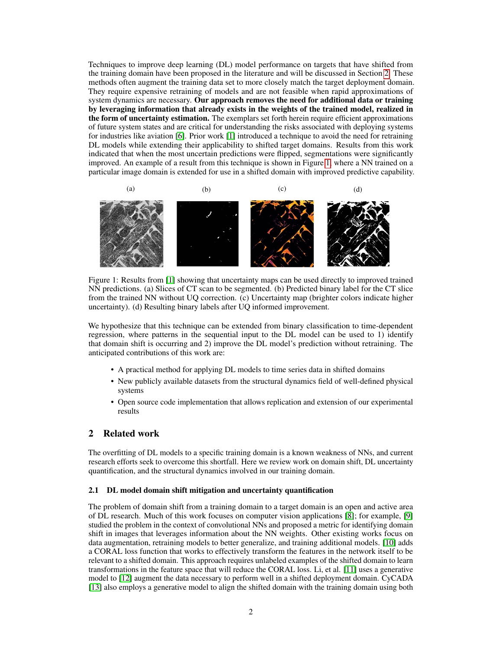Techniques to improve deep learning (DL) model performance on targets that have shifted from the training domain have been proposed in the literature and will be discussed in Section [2.](#page-1-0) These methods often augment the training data set to more closely match the target deployment domain. They require expensive retraining of models and are not feasible when rapid approximations of system dynamics are necessary. Our approach removes the need for additional data or training by leveraging information that already exists in the weights of the trained model, realized in the form of uncertainty estimation. The exemplars set forth herein require efficient approximations of future system states and are critical for understanding the risks associated with deploying systems for industries like aviation [\[6\]](#page-5-5). Prior work [\[1\]](#page-5-0) introduced a technique to avoid the need for retraining DL models while extending their applicability to shifted target domains. Results from this work indicated that when the most uncertain predictions were flipped, segmentations were significantly improved. An example of a result from this technique is shown in Figure [1,](#page-1-1) where a NN trained on a particular image domain is extended for use in a shifted domain with improved predictive capability.

<span id="page-1-1"></span>

Figure 1: Results from [\[1\]](#page-5-0) showing that uncertainty maps can be used directly to improved trained NN predictions. (a) Slices of CT scan to be segmented. (b) Predicted binary label for the CT slice from the trained NN without UQ correction. (c) Uncertainty map (brighter colors indicate higher uncertainty). (d) Resulting binary labels after UQ informed improvement.

We hypothesize that this technique can be extended from binary classification to time-dependent regression, where patterns in the sequential input to the DL model can be used to 1) identify that domain shift is occurring and 2) improve the DL model's prediction without retraining. The anticipated contributions of this work are:

- A practical method for applying DL models to time series data in shifted domains
- New publicly available datasets from the structural dynamics field of well-defined physical systems
- Open source code implementation that allows replication and extension of our experimental results

### <span id="page-1-0"></span>2 Related work

The overfitting of DL models to a specific training domain is a known weakness of NNs, and current research efforts seek to overcome this shortfall. Here we review work on domain shift, DL uncertainty quantification, and the structural dynamics involved in our training domain.

#### 2.1 DL model domain shift mitigation and uncertainty quantification

The problem of domain shift from a training domain to a target domain is an open and active area of DL research. Much of this work focuses on computer vision applications [\[8\]](#page-5-7); for example, [\[9\]](#page-5-8) studied the problem in the context of convolutional NNs and proposed a metric for identifying domain shift in images that leverages information about the NN weights. Other existing works focus on data augmentation, retraining models to better generalize, and training additional models. [\[10\]](#page-5-9) adds a CORAL loss function that works to effectively transform the features in the network itself to be relevant to a shifted domain. This approach requires unlabeled examples of the shifted domain to learn transformations in the feature space that will reduce the CORAL loss. Li, et al. [\[11\]](#page-5-10) uses a generative model to [\[12\]](#page-5-11) augment the data necessary to perform well in a shifted deployment domain. CyCADA [\[13\]](#page-5-12) also employs a generative model to align the shifted domain with the training domain using both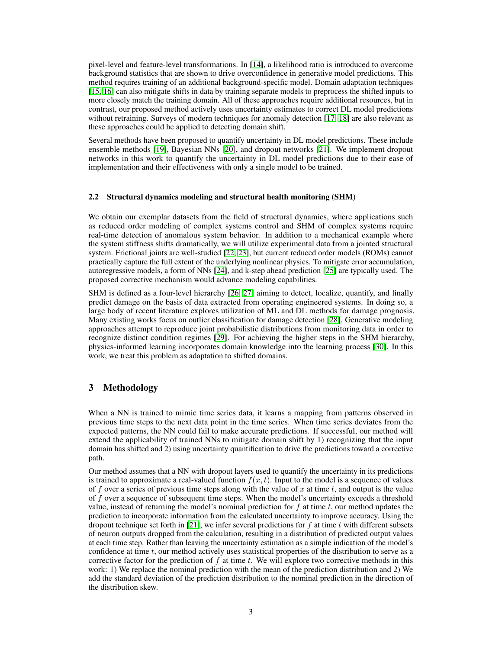pixel-level and feature-level transformations. In [\[14\]](#page-5-13), a likelihood ratio is introduced to overcome background statistics that are shown to drive overconfidence in generative model predictions. This method requires training of an additional background-specific model. Domain adaptation techniques [\[15,](#page-5-14) [16\]](#page-5-15) can also mitigate shifts in data by training separate models to preprocess the shifted inputs to more closely match the training domain. All of these approaches require additional resources, but in contrast, our proposed method actively uses uncertainty estimates to correct DL model predictions without retraining. Surveys of modern techniques for anomaly detection [\[17,](#page-5-16) [18\]](#page-5-17) are also relevant as these approaches could be applied to detecting domain shift.

Several methods have been proposed to quantify uncertainty in DL model predictions. These include ensemble methods [\[19\]](#page-5-18), Bayesian NNs [\[20\]](#page-5-19), and dropout networks [\[21\]](#page-5-20). We implement dropout networks in this work to quantify the uncertainty in DL model predictions due to their ease of implementation and their effectiveness with only a single model to be trained.

#### 2.2 Structural dynamics modeling and structural health monitoring (SHM)

We obtain our exemplar datasets from the field of structural dynamics, where applications such as reduced order modeling of complex systems control and SHM of complex systems require real-time detection of anomalous system behavior. In addition to a mechanical example where the system stiffness shifts dramatically, we will utilize experimental data from a jointed structural system. Frictional joints are well-studied [\[22,](#page-5-21) [23\]](#page-5-22), but current reduced order models (ROMs) cannot practically capture the full extent of the underlying nonlinear physics. To mitigate error accumulation, autoregressive models, a form of NNs [\[24\]](#page-6-0), and k-step ahead prediction [\[25\]](#page-6-1) are typically used. The proposed corrective mechanism would advance modeling capabilities.

SHM is defined as a four-level hierarchy [\[26,](#page-6-2) [27\]](#page-6-3) aiming to detect, localize, quantify, and finally predict damage on the basis of data extracted from operating engineered systems. In doing so, a large body of recent literature explores utilization of ML and DL methods for damage prognosis. Many existing works focus on outlier classification for damage detection [\[28\]](#page-6-4). Generative modeling approaches attempt to reproduce joint probabilistic distributions from monitoring data in order to recognize distinct condition regimes [\[29\]](#page-6-5). For achieving the higher steps in the SHM hierarchy, physics-informed learning incorporates domain knowledge into the learning process [\[30\]](#page-6-6). In this work, we treat this problem as adaptation to shifted domains.

# 3 Methodology

When a NN is trained to mimic time series data, it learns a mapping from patterns observed in previous time steps to the next data point in the time series. When time series deviates from the expected patterns, the NN could fail to make accurate predictions. If successful, our method will extend the applicability of trained NNs to mitigate domain shift by 1) recognizing that the input domain has shifted and 2) using uncertainty quantification to drive the predictions toward a corrective path.

Our method assumes that a NN with dropout layers used to quantify the uncertainty in its predictions is trained to approximate a real-valued function  $f(x, t)$ . Input to the model is a sequence of values of f over a series of previous time steps along with the value of x at time t, and output is the value of f over a sequence of subsequent time steps. When the model's uncertainty exceeds a threshold value, instead of returning the model's nominal prediction for  $f$  at time  $t$ , our method updates the prediction to incorporate information from the calculated uncertainty to improve accuracy. Using the dropout technique set forth in [\[21\]](#page-5-20), we infer several predictions for f at time t with different subsets of neuron outputs dropped from the calculation, resulting in a distribution of predicted output values at each time step. Rather than leaving the uncertainty estimation as a simple indication of the model's confidence at time t, our method actively uses statistical properties of the distribution to serve as a corrective factor for the prediction of  $f$  at time  $t$ . We will explore two corrective methods in this work: 1) We replace the nominal prediction with the mean of the prediction distribution and 2) We add the standard deviation of the prediction distribution to the nominal prediction in the direction of the distribution skew.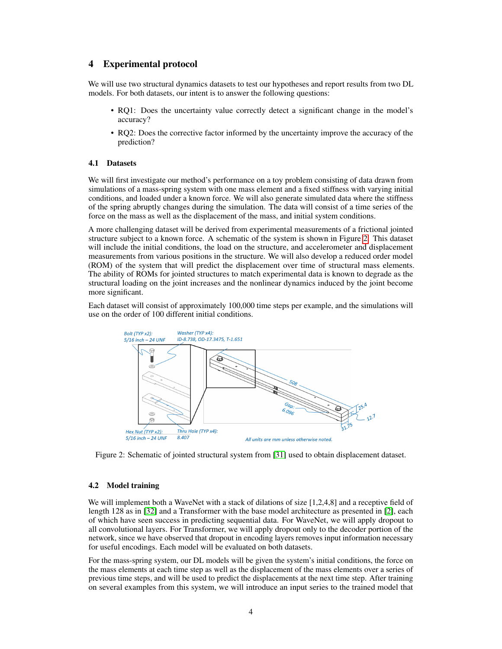## 4 Experimental protocol

We will use two structural dynamics datasets to test our hypotheses and report results from two DL models. For both datasets, our intent is to answer the following questions:

- RQ1: Does the uncertainty value correctly detect a significant change in the model's accuracy?
- RQ2: Does the corrective factor informed by the uncertainty improve the accuracy of the prediction?

#### 4.1 Datasets

We will first investigate our method's performance on a toy problem consisting of data drawn from simulations of a mass-spring system with one mass element and a fixed stiffness with varying initial conditions, and loaded under a known force. We will also generate simulated data where the stiffness of the spring abruptly changes during the simulation. The data will consist of a time series of the force on the mass as well as the displacement of the mass, and initial system conditions.

A more challenging dataset will be derived from experimental measurements of a frictional jointed structure subject to a known force. A schematic of the system is shown in Figure [2.](#page-3-0) This dataset will include the initial conditions, the load on the structure, and accelerometer and displacement measurements from various positions in the structure. We will also develop a reduced order model (ROM) of the system that will predict the displacement over time of structural mass elements. The ability of ROMs for jointed structures to match experimental data is known to degrade as the structural loading on the joint increases and the nonlinear dynamics induced by the joint become more significant.

<span id="page-3-0"></span>Each dataset will consist of approximately 100,000 time steps per example, and the simulations will use on the order of 100 different initial conditions.



Figure 2: Schematic of jointed structural system from [\[31\]](#page-6-7) used to obtain displacement dataset.

#### 4.2 Model training

We will implement both a WaveNet with a stack of dilations of size [1,2,4,8] and a receptive field of length 128 as in [\[32\]](#page-6-8) and a Transformer with the base model architecture as presented in [\[2\]](#page-5-1), each of which have seen success in predicting sequential data. For WaveNet, we will apply dropout to all convolutional layers. For Transformer, we will apply dropout only to the decoder portion of the network, since we have observed that dropout in encoding layers removes input information necessary for useful encodings. Each model will be evaluated on both datasets.

For the mass-spring system, our DL models will be given the system's initial conditions, the force on the mass elements at each time step as well as the displacement of the mass elements over a series of previous time steps, and will be used to predict the displacements at the next time step. After training on several examples from this system, we will introduce an input series to the trained model that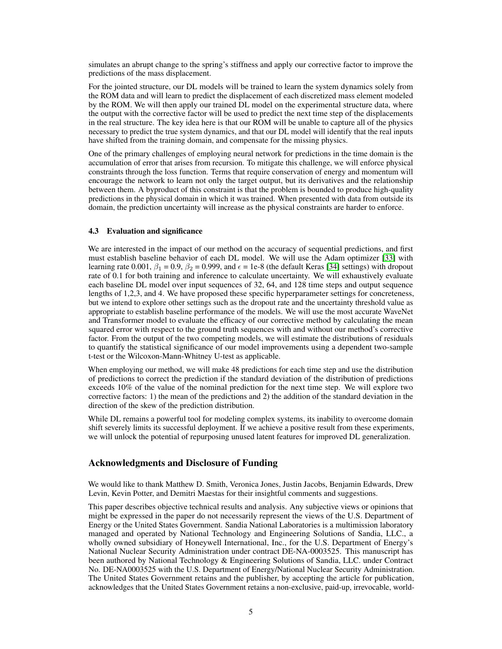simulates an abrupt change to the spring's stiffness and apply our corrective factor to improve the predictions of the mass displacement.

For the jointed structure, our DL models will be trained to learn the system dynamics solely from the ROM data and will learn to predict the displacement of each discretized mass element modeled by the ROM. We will then apply our trained DL model on the experimental structure data, where the output with the corrective factor will be used to predict the next time step of the displacements in the real structure. The key idea here is that our ROM will be unable to capture all of the physics necessary to predict the true system dynamics, and that our DL model will identify that the real inputs have shifted from the training domain, and compensate for the missing physics.

One of the primary challenges of employing neural network for predictions in the time domain is the accumulation of error that arises from recursion. To mitigate this challenge, we will enforce physical constraints through the loss function. Terms that require conservation of energy and momentum will encourage the network to learn not only the target output, but its derivatives and the relationship between them. A byproduct of this constraint is that the problem is bounded to produce high-quality predictions in the physical domain in which it was trained. When presented with data from outside its domain, the prediction uncertainty will increase as the physical constraints are harder to enforce.

#### 4.3 Evaluation and significance

We are interested in the impact of our method on the accuracy of sequential predictions, and first must establish baseline behavior of each DL model. We will use the Adam optimizer [\[33\]](#page-6-9) with learning rate 0.001,  $\beta_1 = 0.9$ ,  $\beta_2 = 0.999$ , and  $\epsilon = 1e-8$  (the default Keras [\[34\]](#page-6-10) settings) with dropout rate of 0.1 for both training and inference to calculate uncertainty. We will exhaustively evaluate each baseline DL model over input sequences of 32, 64, and 128 time steps and output sequence lengths of 1,2,3, and 4. We have proposed these specific hyperparameter settings for concreteness, but we intend to explore other settings such as the dropout rate and the uncertainty threshold value as appropriate to establish baseline performance of the models. We will use the most accurate WaveNet and Transformer model to evaluate the efficacy of our corrective method by calculating the mean squared error with respect to the ground truth sequences with and without our method's corrective factor. From the output of the two competing models, we will estimate the distributions of residuals to quantify the statistical significance of our model improvements using a dependent two-sample t-test or the Wilcoxon-Mann-Whitney U-test as applicable.

When employing our method, we will make 48 predictions for each time step and use the distribution of predictions to correct the prediction if the standard deviation of the distribution of predictions exceeds 10% of the value of the nominal prediction for the next time step. We will explore two corrective factors: 1) the mean of the predictions and 2) the addition of the standard deviation in the direction of the skew of the prediction distribution.

While DL remains a powerful tool for modeling complex systems, its inability to overcome domain shift severely limits its successful deployment. If we achieve a positive result from these experiments, we will unlock the potential of repurposing unused latent features for improved DL generalization.

## Acknowledgments and Disclosure of Funding

We would like to thank Matthew D. Smith, Veronica Jones, Justin Jacobs, Benjamin Edwards, Drew Levin, Kevin Potter, and Demitri Maestas for their insightful comments and suggestions.

This paper describes objective technical results and analysis. Any subjective views or opinions that might be expressed in the paper do not necessarily represent the views of the U.S. Department of Energy or the United States Government. Sandia National Laboratories is a multimission laboratory managed and operated by National Technology and Engineering Solutions of Sandia, LLC., a wholly owned subsidiary of Honeywell International, Inc., for the U.S. Department of Energy's National Nuclear Security Administration under contract DE-NA-0003525. This manuscript has been authored by National Technology & Engineering Solutions of Sandia, LLC. under Contract No. DE-NA0003525 with the U.S. Department of Energy/National Nuclear Security Administration. The United States Government retains and the publisher, by accepting the article for publication, acknowledges that the United States Government retains a non-exclusive, paid-up, irrevocable, world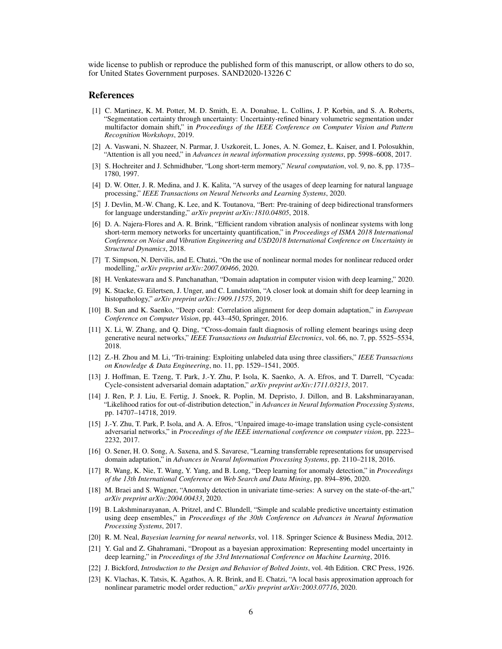wide license to publish or reproduce the published form of this manuscript, or allow others to do so, for United States Government purposes. SAND2020-13226 C

#### **References**

- <span id="page-5-0"></span>[1] C. Martinez, K. M. Potter, M. D. Smith, E. A. Donahue, L. Collins, J. P. Korbin, and S. A. Roberts, "Segmentation certainty through uncertainty: Uncertainty-refined binary volumetric segmentation under multifactor domain shift," in *Proceedings of the IEEE Conference on Computer Vision and Pattern Recognition Workshops*, 2019.
- <span id="page-5-1"></span>[2] A. Vaswani, N. Shazeer, N. Parmar, J. Uszkoreit, L. Jones, A. N. Gomez, Ł. Kaiser, and I. Polosukhin, "Attention is all you need," in *Advances in neural information processing systems*, pp. 5998–6008, 2017.
- <span id="page-5-2"></span>[3] S. Hochreiter and J. Schmidhuber, "Long short-term memory," *Neural computation*, vol. 9, no. 8, pp. 1735– 1780, 1997.
- <span id="page-5-3"></span>[4] D. W. Otter, J. R. Medina, and J. K. Kalita, "A survey of the usages of deep learning for natural language processing," *IEEE Transactions on Neural Networks and Learning Systems*, 2020.
- <span id="page-5-4"></span>[5] J. Devlin, M.-W. Chang, K. Lee, and K. Toutanova, "Bert: Pre-training of deep bidirectional transformers for language understanding," *arXiv preprint arXiv:1810.04805*, 2018.
- <span id="page-5-5"></span>[6] D. A. Najera-Flores and A. R. Brink, "Efficient random vibration analysis of nonlinear systems with long short-term memory networks for uncertainty quantification," in *Proceedings of ISMA 2018 International Conference on Noise and Vibration Engineering and USD2018 International Conference on Uncertainty in Structural Dynamics*, 2018.
- <span id="page-5-6"></span>[7] T. Simpson, N. Dervilis, and E. Chatzi, "On the use of nonlinear normal modes for nonlinear reduced order modelling," *arXiv preprint arXiv:2007.00466*, 2020.
- <span id="page-5-7"></span>[8] H. Venkateswara and S. Panchanathan, "Domain adaptation in computer vision with deep learning," 2020.
- <span id="page-5-8"></span>[9] K. Stacke, G. Eilertsen, J. Unger, and C. Lundström, "A closer look at domain shift for deep learning in histopathology," *arXiv preprint arXiv:1909.11575*, 2019.
- <span id="page-5-9"></span>[10] B. Sun and K. Saenko, "Deep coral: Correlation alignment for deep domain adaptation," in *European Conference on Computer Vision*, pp. 443–450, Springer, 2016.
- <span id="page-5-10"></span>[11] X. Li, W. Zhang, and Q. Ding, "Cross-domain fault diagnosis of rolling element bearings using deep generative neural networks," *IEEE Transactions on Industrial Electronics*, vol. 66, no. 7, pp. 5525–5534, 2018.
- <span id="page-5-11"></span>[12] Z.-H. Zhou and M. Li, "Tri-training: Exploiting unlabeled data using three classifiers," *IEEE Transactions on Knowledge & Data Engineering*, no. 11, pp. 1529–1541, 2005.
- <span id="page-5-12"></span>[13] J. Hoffman, E. Tzeng, T. Park, J.-Y. Zhu, P. Isola, K. Saenko, A. A. Efros, and T. Darrell, "Cycada: Cycle-consistent adversarial domain adaptation," *arXiv preprint arXiv:1711.03213*, 2017.
- <span id="page-5-13"></span>[14] J. Ren, P. J. Liu, E. Fertig, J. Snoek, R. Poplin, M. Depristo, J. Dillon, and B. Lakshminarayanan, "Likelihood ratios for out-of-distribution detection," in *Advances in Neural Information Processing Systems*, pp. 14707–14718, 2019.
- <span id="page-5-14"></span>[15] J.-Y. Zhu, T. Park, P. Isola, and A. A. Efros, "Unpaired image-to-image translation using cycle-consistent adversarial networks," in *Proceedings of the IEEE international conference on computer vision*, pp. 2223– 2232, 2017.
- <span id="page-5-15"></span>[16] O. Sener, H. O. Song, A. Saxena, and S. Savarese, "Learning transferrable representations for unsupervised domain adaptation," in *Advances in Neural Information Processing Systems*, pp. 2110–2118, 2016.
- <span id="page-5-16"></span>[17] R. Wang, K. Nie, T. Wang, Y. Yang, and B. Long, "Deep learning for anomaly detection," in *Proceedings of the 13th International Conference on Web Search and Data Mining*, pp. 894–896, 2020.
- <span id="page-5-17"></span>[18] M. Braei and S. Wagner, "Anomaly detection in univariate time-series: A survey on the state-of-the-art," *arXiv preprint arXiv:2004.00433*, 2020.
- <span id="page-5-18"></span>[19] B. Lakshminarayanan, A. Pritzel, and C. Blundell, "Simple and scalable predictive uncertainty estimation using deep ensembles," in *Proceedings of the 30th Conference on Advances in Neural Information Processing Systems*, 2017.
- <span id="page-5-19"></span>[20] R. M. Neal, *Bayesian learning for neural networks*, vol. 118. Springer Science & Business Media, 2012.
- <span id="page-5-20"></span>[21] Y. Gal and Z. Ghahramani, "Dropout as a bayesian approximation: Representing model uncertainty in deep learning," in *Proceedings of the 33rd International Conference on Machine Learning*, 2016.
- <span id="page-5-21"></span>[22] J. Bickford, *Introduction to the Design and Behavior of Bolted Joints*, vol. 4th Edition. CRC Press, 1926.
- <span id="page-5-22"></span>[23] K. Vlachas, K. Tatsis, K. Agathos, A. R. Brink, and E. Chatzi, "A local basis approximation approach for nonlinear parametric model order reduction," *arXiv preprint arXiv:2003.07716*, 2020.